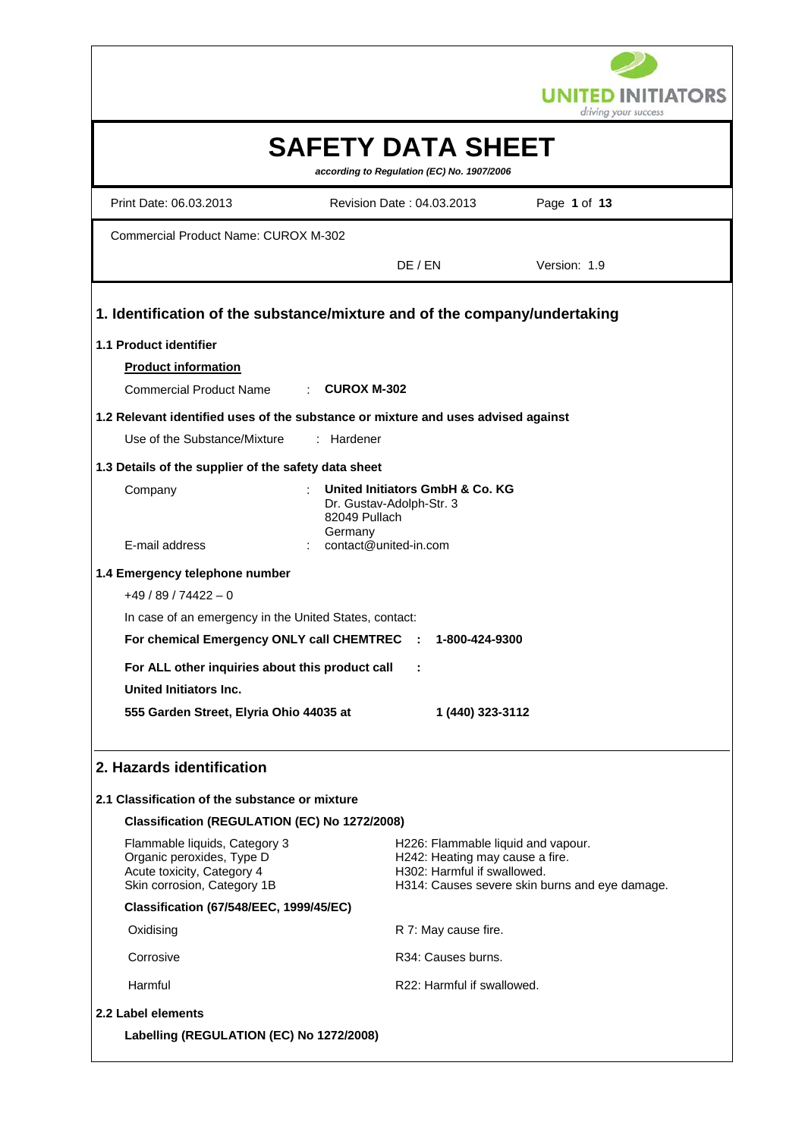

|                                                                                                                         |                                                                                                      | driving your success                           |
|-------------------------------------------------------------------------------------------------------------------------|------------------------------------------------------------------------------------------------------|------------------------------------------------|
|                                                                                                                         | <b>SAFETY DATA SHEET</b><br>according to Regulation (EC) No. 1907/2006                               |                                                |
| Print Date: 06.03.2013                                                                                                  | Revision Date: 04.03.2013                                                                            | Page 1 of 13                                   |
| <b>Commercial Product Name: CUROX M-302</b>                                                                             |                                                                                                      |                                                |
|                                                                                                                         | DE / EN                                                                                              | Version: 1.9                                   |
| 1. Identification of the substance/mixture and of the company/undertaking                                               |                                                                                                      |                                                |
| 1.1 Product identifier                                                                                                  |                                                                                                      |                                                |
| <b>Product information</b>                                                                                              |                                                                                                      |                                                |
| <b>Commercial Product Name</b><br>$\therefore$ CUROX M-302                                                              |                                                                                                      |                                                |
| 1.2 Relevant identified uses of the substance or mixture and uses advised against                                       |                                                                                                      |                                                |
| Use of the Substance/Mixture<br>Hardener                                                                                |                                                                                                      |                                                |
| 1.3 Details of the supplier of the safety data sheet                                                                    |                                                                                                      |                                                |
| Company<br>82049 Pullach<br>Germany<br>E-mail address                                                                   | United Initiators GmbH & Co. KG<br>Dr. Gustav-Adolph-Str. 3<br>contact@united-in.com                 |                                                |
|                                                                                                                         |                                                                                                      |                                                |
| 1.4 Emergency telephone number                                                                                          |                                                                                                      |                                                |
| $+49/89/74422 - 0$                                                                                                      |                                                                                                      |                                                |
| In case of an emergency in the United States, contact:<br>For chemical Emergency ONLY call CHEMTREC :                   | 1-800-424-9300                                                                                       |                                                |
|                                                                                                                         |                                                                                                      |                                                |
| For ALL other inquiries about this product call                                                                         | ÷                                                                                                    |                                                |
| <b>United Initiators Inc.</b>                                                                                           |                                                                                                      |                                                |
| 555 Garden Street, Elyria Ohio 44035 at                                                                                 | 1 (440) 323-3112                                                                                     |                                                |
| 2. Hazards identification                                                                                               |                                                                                                      |                                                |
| 2.1 Classification of the substance or mixture                                                                          |                                                                                                      |                                                |
| Classification (REGULATION (EC) No 1272/2008)                                                                           |                                                                                                      |                                                |
| Flammable liquids, Category 3<br>Organic peroxides, Type D<br>Acute toxicity, Category 4<br>Skin corrosion, Category 1B | H226: Flammable liquid and vapour.<br>H242: Heating may cause a fire.<br>H302: Harmful if swallowed. | H314: Causes severe skin burns and eye damage. |
| <b>Classification (67/548/EEC, 1999/45/EC)</b>                                                                          |                                                                                                      |                                                |
| Oxidising                                                                                                               | R 7: May cause fire.                                                                                 |                                                |
| Corrosive                                                                                                               | R34: Causes burns.                                                                                   |                                                |
| Harmful                                                                                                                 | R22: Harmful if swallowed.                                                                           |                                                |
| 2.2 Label elements                                                                                                      |                                                                                                      |                                                |
| Labelling (REGULATION (EC) No 1272/2008)                                                                                |                                                                                                      |                                                |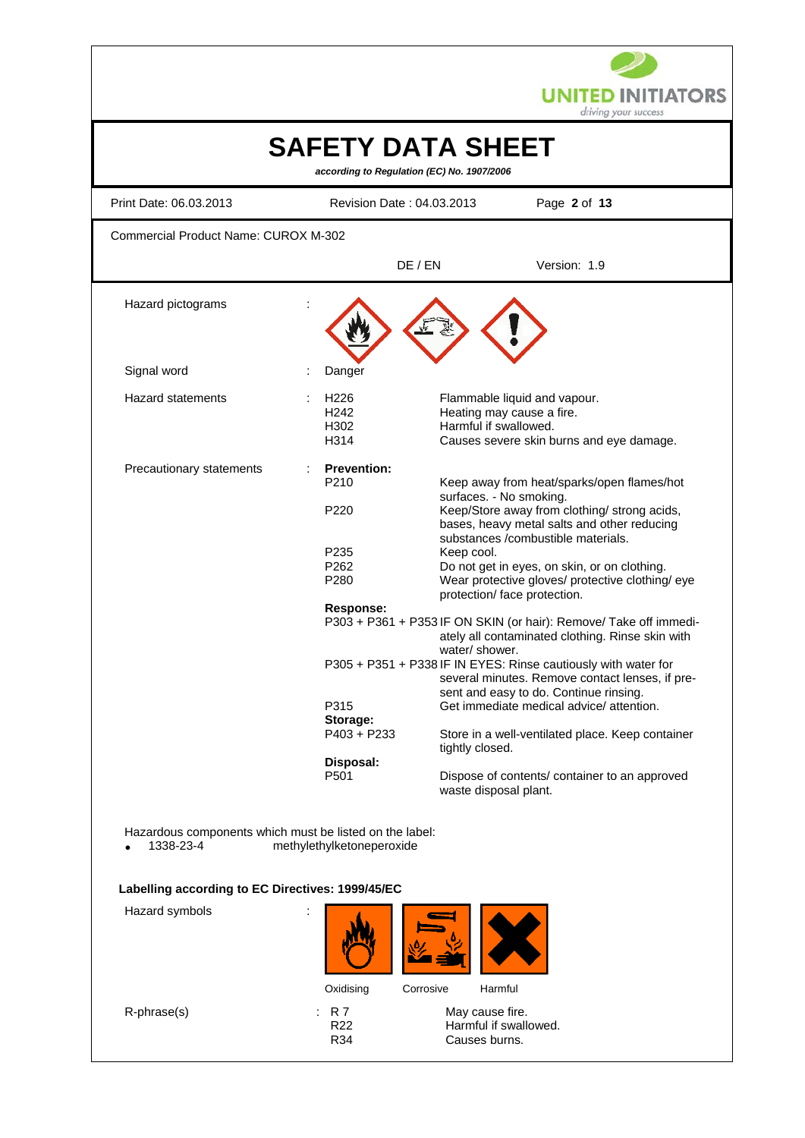

| <b>SAFETY DATA SHEET</b><br>according to Regulation (EC) No. 1907/2006                                                                                    |                                                                                                                                                      |                                                                         |                                                                                                                                                                                                                                                                                                                                                                                                                                                                                                                                                                                                                                                                                                                                                                                         |
|-----------------------------------------------------------------------------------------------------------------------------------------------------------|------------------------------------------------------------------------------------------------------------------------------------------------------|-------------------------------------------------------------------------|-----------------------------------------------------------------------------------------------------------------------------------------------------------------------------------------------------------------------------------------------------------------------------------------------------------------------------------------------------------------------------------------------------------------------------------------------------------------------------------------------------------------------------------------------------------------------------------------------------------------------------------------------------------------------------------------------------------------------------------------------------------------------------------------|
| Print Date: 06.03.2013                                                                                                                                    |                                                                                                                                                      | Revision Date: 04.03.2013                                               | Page 2 of 13                                                                                                                                                                                                                                                                                                                                                                                                                                                                                                                                                                                                                                                                                                                                                                            |
| <b>Commercial Product Name: CUROX M-302</b>                                                                                                               |                                                                                                                                                      |                                                                         |                                                                                                                                                                                                                                                                                                                                                                                                                                                                                                                                                                                                                                                                                                                                                                                         |
|                                                                                                                                                           |                                                                                                                                                      | DE / EN                                                                 | Version: 1.9                                                                                                                                                                                                                                                                                                                                                                                                                                                                                                                                                                                                                                                                                                                                                                            |
| Hazard pictograms                                                                                                                                         |                                                                                                                                                      |                                                                         |                                                                                                                                                                                                                                                                                                                                                                                                                                                                                                                                                                                                                                                                                                                                                                                         |
| Signal word                                                                                                                                               | Danger                                                                                                                                               |                                                                         |                                                                                                                                                                                                                                                                                                                                                                                                                                                                                                                                                                                                                                                                                                                                                                                         |
| <b>Hazard statements</b>                                                                                                                                  | H <sub>226</sub><br>H <sub>242</sub><br>H302<br>H314                                                                                                 | Harmful if swallowed.                                                   | Flammable liquid and vapour.<br>Heating may cause a fire.<br>Causes severe skin burns and eye damage.                                                                                                                                                                                                                                                                                                                                                                                                                                                                                                                                                                                                                                                                                   |
| Precautionary statements                                                                                                                                  | <b>Prevention:</b><br>P210<br>P220<br>P235<br>P <sub>262</sub><br>P280<br><b>Response:</b><br>P315<br>Storage:<br>$P403 + P233$<br>Disposal:<br>P501 | Keep cool.<br>water/shower.<br>tightly closed.<br>waste disposal plant. | Keep away from heat/sparks/open flames/hot<br>surfaces. - No smoking.<br>Keep/Store away from clothing/ strong acids,<br>bases, heavy metal salts and other reducing<br>substances /combustible materials.<br>Do not get in eyes, on skin, or on clothing.<br>Wear protective gloves/ protective clothing/ eye<br>protection/ face protection.<br>P303 + P361 + P353 IF ON SKIN (or hair): Remove/ Take off immedi-<br>ately all contaminated clothing. Rinse skin with<br>P305 + P351 + P338 IF IN EYES: Rinse cautiously with water for<br>several minutes. Remove contact lenses, if pre-<br>sent and easy to do. Continue rinsing.<br>Get immediate medical advice/ attention.<br>Store in a well-ventilated place. Keep container<br>Dispose of contents/ container to an approved |
| Hazardous components which must be listed on the label:<br>1338-23-4<br>Labelling according to EC Directives: 1999/45/EC<br>Hazard symbols<br>R-phrase(s) | methylethylketoneperoxide<br>Oxidising<br>R 7<br>R <sub>22</sub><br>R34                                                                              | Corrosive<br>Harmful<br>May cause fire.<br>Causes burns.                | Harmful if swallowed.                                                                                                                                                                                                                                                                                                                                                                                                                                                                                                                                                                                                                                                                                                                                                                   |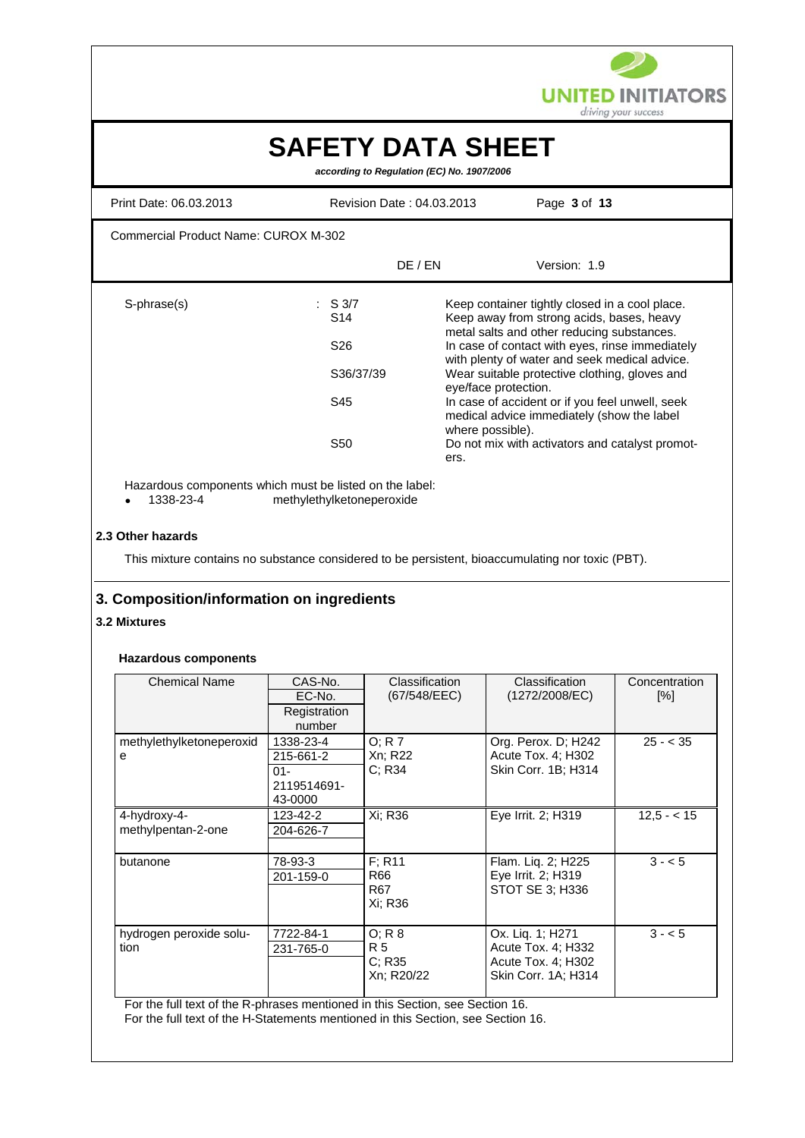

# **SAFETY DATA SHEET**

 *according to Regulation (EC) No. 1907/2006*

| Print Date: 06.03.2013               | Revision Date: 04.03.2013                                                                       |                                                  | Page 3 of 13                                                                                                                                                                                                                                                                                                                                                                                                                                       |
|--------------------------------------|-------------------------------------------------------------------------------------------------|--------------------------------------------------|----------------------------------------------------------------------------------------------------------------------------------------------------------------------------------------------------------------------------------------------------------------------------------------------------------------------------------------------------------------------------------------------------------------------------------------------------|
| Commercial Product Name: CUROX M-302 |                                                                                                 |                                                  |                                                                                                                                                                                                                                                                                                                                                                                                                                                    |
|                                      | DE / EN                                                                                         |                                                  | Version: 1.9                                                                                                                                                                                                                                                                                                                                                                                                                                       |
| S-phrase(s)                          | $\therefore$ S 3/7<br>S <sub>14</sub><br>S <sub>26</sub><br>S36/37/39<br>S45<br>S <sub>50</sub> | eye/face protection.<br>where possible).<br>ers. | Keep container tightly closed in a cool place.<br>Keep away from strong acids, bases, heavy<br>metal salts and other reducing substances.<br>In case of contact with eyes, rinse immediately<br>with plenty of water and seek medical advice.<br>Wear suitable protective clothing, gloves and<br>In case of accident or if you feel unwell, seek<br>medical advice immediately (show the label<br>Do not mix with activators and catalyst promot- |

Hazardous components which must be listed on the label:<br>• 1338-23-4 methylethylketoneperoxide

• 1338-23-4 methylethylketoneperoxide

#### **2.3 Other hazards**

This mixture contains no substance considered to be persistent, bioaccumulating nor toxic (PBT).

# **3. Composition/information on ingredients**

#### **3.2 Mixtures**

## **Hazardous components**

| <b>Chemical Name</b>               | CAS-No.<br>EC-No.<br>Registration<br>number                | Classification<br>(67/548/EEC)                 | Classification<br>(1272/2008/EC)                                                    | Concentration<br>[%] |
|------------------------------------|------------------------------------------------------------|------------------------------------------------|-------------------------------------------------------------------------------------|----------------------|
| methylethylketoneperoxid<br>е      | 1338-23-4<br>215-661-2<br>$01 -$<br>2119514691-<br>43-0000 | O; R 7<br>Xn; R22<br>C; R34                    | Org. Perox. D; H242<br>Acute Tox. 4; H302<br>Skin Corr. 1B; H314                    | $25 - < 35$          |
| 4-hydroxy-4-<br>methylpentan-2-one | 123-42-2<br>204-626-7                                      | Xi; R36                                        | Eye Irrit. 2; H319                                                                  | $12,5 - 15$          |
| butanone                           | 78-93-3<br>201-159-0                                       | $F$ ; R <sub>11</sub><br>R66<br>R67<br>Xi: R36 | Flam. Liq. 2; H225<br>Eye Irrit. 2; H319<br>STOT SE 3: H336                         | $3 - 5$              |
| hydrogen peroxide solu-<br>tion    | 7722-84-1<br>231-765-0                                     | O: R 8<br>R 5<br>C; R35<br>Xn; R20/22          | Ox. Liq. 1; H271<br>Acute Tox. 4; H332<br>Acute Tox. 4; H302<br>Skin Corr. 1A; H314 | $3 - 5$              |

For the full text of the R-phrases mentioned in this Section, see Section 16.

For the full text of the H-Statements mentioned in this Section, see Section 16.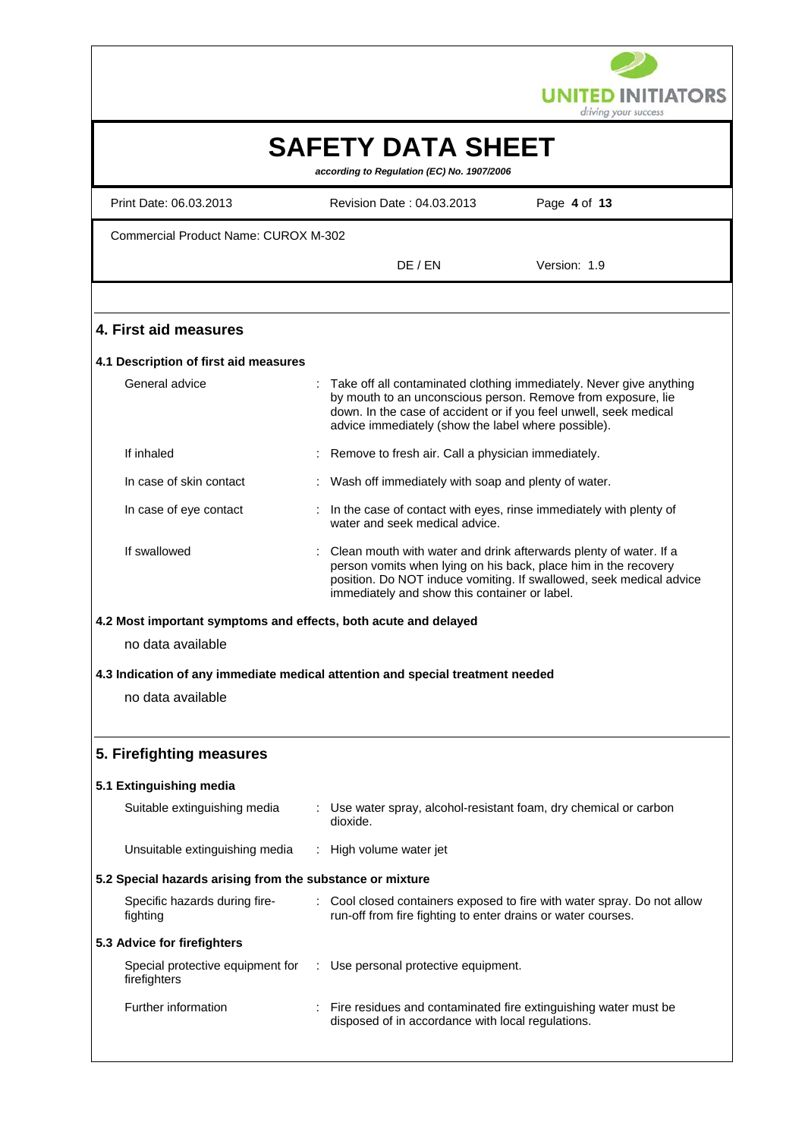

|                                                                                |          |                                                                        | driving your success                                                                                                                                                                                        |
|--------------------------------------------------------------------------------|----------|------------------------------------------------------------------------|-------------------------------------------------------------------------------------------------------------------------------------------------------------------------------------------------------------|
|                                                                                |          | <b>SAFETY DATA SHEET</b><br>according to Regulation (EC) No. 1907/2006 |                                                                                                                                                                                                             |
| Print Date: 06.03.2013                                                         |          | Revision Date: 04.03.2013                                              | Page 4 of 13                                                                                                                                                                                                |
| <b>Commercial Product Name: CUROX M-302</b>                                    |          |                                                                        |                                                                                                                                                                                                             |
|                                                                                |          | DE / EN                                                                | Version: 1.9                                                                                                                                                                                                |
|                                                                                |          |                                                                        |                                                                                                                                                                                                             |
| 4. First aid measures                                                          |          |                                                                        |                                                                                                                                                                                                             |
| 4.1 Description of first aid measures                                          |          |                                                                        |                                                                                                                                                                                                             |
| General advice                                                                 |          | advice immediately (show the label where possible).                    | Take off all contaminated clothing immediately. Never give anything<br>by mouth to an unconscious person. Remove from exposure, lie<br>down. In the case of accident or if you feel unwell, seek medical    |
| If inhaled                                                                     |          | Remove to fresh air. Call a physician immediately.                     |                                                                                                                                                                                                             |
| In case of skin contact                                                        |          | Wash off immediately with soap and plenty of water.                    |                                                                                                                                                                                                             |
| In case of eye contact                                                         |          | water and seek medical advice.                                         | In the case of contact with eyes, rinse immediately with plenty of                                                                                                                                          |
| If swallowed                                                                   |          | immediately and show this container or label.                          | Clean mouth with water and drink afterwards plenty of water. If a<br>person vomits when lying on his back, place him in the recovery<br>position. Do NOT induce vomiting. If swallowed, seek medical advice |
| 4.2 Most important symptoms and effects, both acute and delayed                |          |                                                                        |                                                                                                                                                                                                             |
| no data available                                                              |          |                                                                        |                                                                                                                                                                                                             |
| 4.3 Indication of any immediate medical attention and special treatment needed |          |                                                                        |                                                                                                                                                                                                             |
| no data available                                                              |          |                                                                        |                                                                                                                                                                                                             |
| 5. Firefighting measures                                                       |          |                                                                        |                                                                                                                                                                                                             |
| 5.1 Extinguishing media                                                        |          |                                                                        |                                                                                                                                                                                                             |
| Suitable extinguishing media                                                   | dioxide. |                                                                        | : Use water spray, alcohol-resistant foam, dry chemical or carbon                                                                                                                                           |
| Unsuitable extinguishing media                                                 |          | High volume water jet                                                  |                                                                                                                                                                                                             |
| 5.2 Special hazards arising from the substance or mixture                      |          |                                                                        |                                                                                                                                                                                                             |
| Specific hazards during fire-<br>fighting                                      |          |                                                                        | Cool closed containers exposed to fire with water spray. Do not allow<br>run-off from fire fighting to enter drains or water courses.                                                                       |
| 5.3 Advice for firefighters                                                    |          |                                                                        |                                                                                                                                                                                                             |
| Special protective equipment for<br>firefighters                               |          | : Use personal protective equipment.                                   |                                                                                                                                                                                                             |
| Further information                                                            |          | disposed of in accordance with local regulations.                      | Fire residues and contaminated fire extinguishing water must be                                                                                                                                             |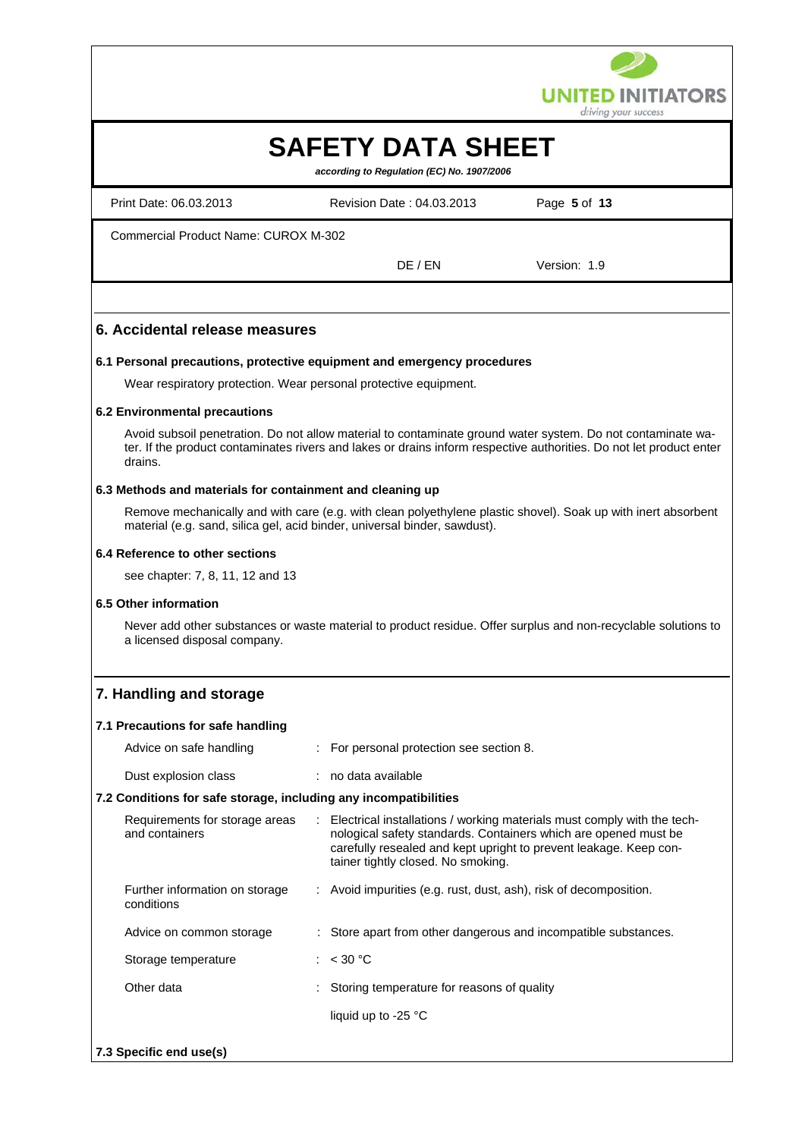

# **SAFETY DATA SHEET**

 *according to Regulation (EC) No. 1907/2006*

Print Date: 06.03.2013 Revision Date : 04.03.2013 Page **5** of **13** Commercial Product Name: CUROX M-302 DE / EN Version: 1.9

# **6. Accidental release measures**

## **6.1 Personal precautions, protective equipment and emergency procedures**

Wear respiratory protection. Wear personal protective equipment.

## **6.2 Environmental precautions**

Avoid subsoil penetration. Do not allow material to contaminate ground water system. Do not contaminate water. If the product contaminates rivers and lakes or drains inform respective authorities. Do not let product enter drains.

#### **6.3 Methods and materials for containment and cleaning up**

Remove mechanically and with care (e.g. with clean polyethylene plastic shovel). Soak up with inert absorbent material (e.g. sand, silica gel, acid binder, universal binder, sawdust).

#### **6.4 Reference to other sections**

see chapter: 7, 8, 11, 12 and 13

#### **6.5 Other information**

Never add other substances or waste material to product residue. Offer surplus and non-recyclable solutions to a licensed disposal company.

# **7. Handling and storage**

#### **7.1 Precautions for safe handling**

| Advice on safe handling                                          | : For personal protection see section 8.                                                                                                                                                                                                                |
|------------------------------------------------------------------|---------------------------------------------------------------------------------------------------------------------------------------------------------------------------------------------------------------------------------------------------------|
| Dust explosion class                                             | : no data available                                                                                                                                                                                                                                     |
| 7.2 Conditions for safe storage, including any incompatibilities |                                                                                                                                                                                                                                                         |
| Requirements for storage areas<br>and containers                 | : Electrical installations / working materials must comply with the tech-<br>nological safety standards. Containers which are opened must be<br>carefully resealed and kept upright to prevent leakage. Keep con-<br>tainer tightly closed. No smoking. |
| Further information on storage<br>conditions                     | : Avoid impurities (e.g. rust, dust, ash), risk of decomposition.                                                                                                                                                                                       |
| Advice on common storage                                         | : Store apart from other dangerous and incompatible substances.                                                                                                                                                                                         |
| Storage temperature                                              | : $< 30 °C$                                                                                                                                                                                                                                             |
| Other data                                                       | : Storing temperature for reasons of quality                                                                                                                                                                                                            |
|                                                                  | liquid up to -25 $^{\circ}$ C                                                                                                                                                                                                                           |
| 7.3 Specific end use(s)                                          |                                                                                                                                                                                                                                                         |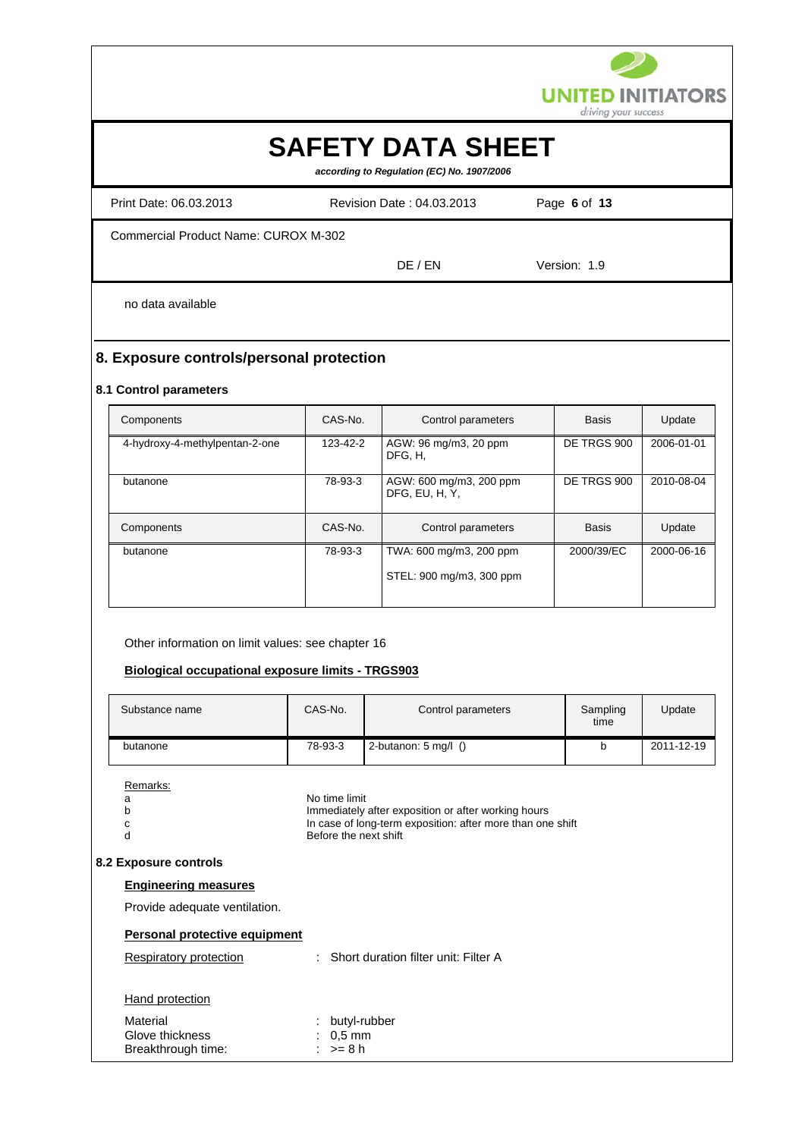

# **SAFETY DATA SHEET**

 *according to Regulation (EC) No. 1907/2006*

Print Date: 06.03.2013 Revision Date : 04.03.2013 Page **6** of **13**

Commercial Product Name: CUROX M-302

DE / EN Version: 1.9

no data available

# **8. Exposure controls/personal protection**

## **8.1 Control parameters**

| Components                     | CAS-No.  | Control parameters                        | <b>Basis</b> | Update     |
|--------------------------------|----------|-------------------------------------------|--------------|------------|
| 4-hydroxy-4-methylpentan-2-one | 123-42-2 | AGW: 96 mg/m3, 20 ppm<br>DFG. H.          | DE TRGS 900  | 2006-01-01 |
| butanone                       | 78-93-3  | AGW: 600 mg/m3, 200 ppm<br>DFG, EU, H, Y, | DE TRGS 900  | 2010-08-04 |
| Components                     | CAS-No.  | Control parameters                        | <b>Basis</b> | Update     |
| butanone                       | 78-93-3  | TWA: 600 mg/m3, 200 ppm                   | 2000/39/EC   | 2000-06-16 |
|                                |          | STEL: 900 mg/m3, 300 ppm                  |              |            |

Other information on limit values: see chapter 16

## **Biological occupational exposure limits - TRGS903**

| Substance name | CAS-No. | Control parameters             | Sampling<br>time | Update     |
|----------------|---------|--------------------------------|------------------|------------|
| butanone       | 78-93-3 | 2-butanon: $5 \text{ ma/l}$ () |                  | 2011-12-19 |

Remarks:

|    | No time limit                                              |
|----|------------------------------------------------------------|
| b  | Immediately after exposition or after working hours        |
| C. | In case of long-term exposition: after more than one shift |
|    | Before the next shift                                      |
|    |                                                            |
|    |                                                            |

## **8.2 Exposure controls**

## **Engineering measures**

Provide adequate ventilation.

# **Personal protective equipment**

| Respiratory protection                            | : Short duration filter unit: Filter A     |
|---------------------------------------------------|--------------------------------------------|
| Hand protection                                   |                                            |
| Material<br>Glove thickness<br>Breakthrough time: | : butyl-rubber<br>$: 0.5$ mm<br>: $>= 8 h$ |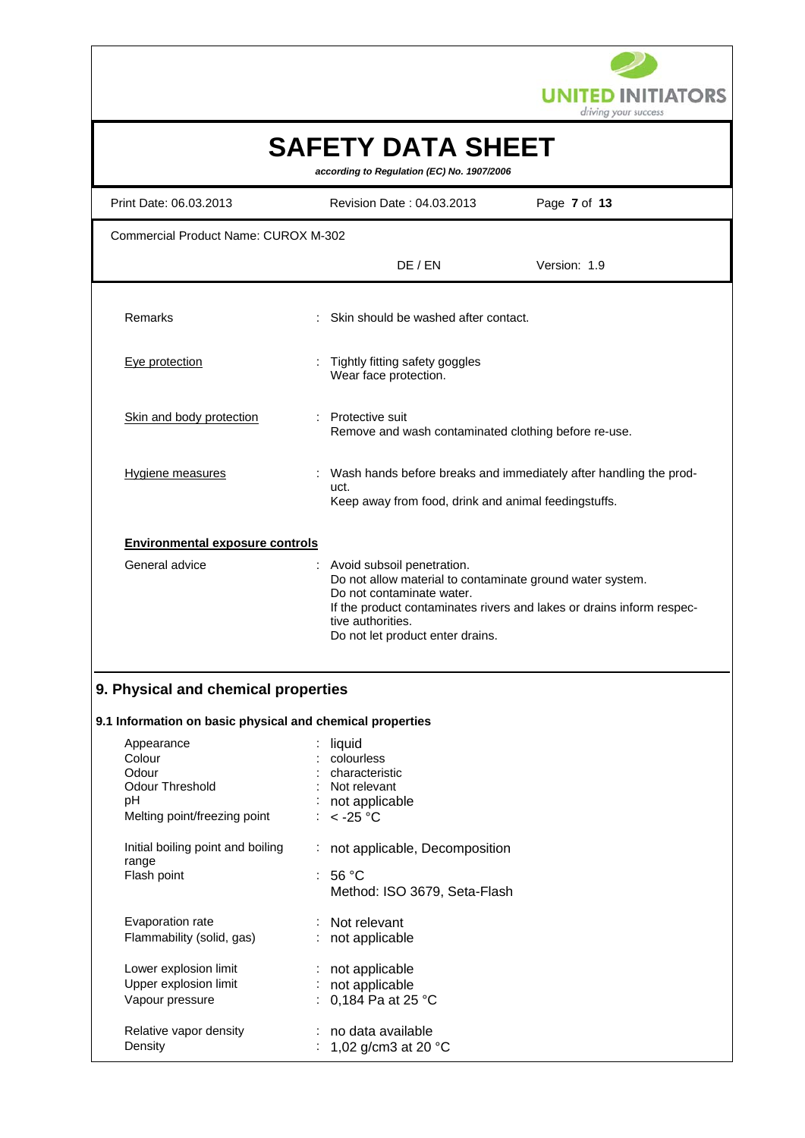

|                                                           |                                                                                                                                                                               | driving your success                                                  |
|-----------------------------------------------------------|-------------------------------------------------------------------------------------------------------------------------------------------------------------------------------|-----------------------------------------------------------------------|
|                                                           | <b>SAFETY DATA SHEET</b><br>according to Regulation (EC) No. 1907/2006                                                                                                        |                                                                       |
| Print Date: 06.03.2013                                    | Revision Date: 04.03.2013                                                                                                                                                     | Page 7 of 13                                                          |
| <b>Commercial Product Name: CUROX M-302</b>               |                                                                                                                                                                               |                                                                       |
|                                                           | DE / EN                                                                                                                                                                       | Version: 1.9                                                          |
| Remarks                                                   | Skin should be washed after contact.                                                                                                                                          |                                                                       |
| Eye protection                                            | Tightly fitting safety goggles<br>Wear face protection.                                                                                                                       |                                                                       |
| Skin and body protection                                  | <b>Protective suit</b><br>Remove and wash contaminated clothing before re-use.                                                                                                |                                                                       |
| Hygiene measures                                          | uct.<br>Keep away from food, drink and animal feedingstuffs.                                                                                                                  | Wash hands before breaks and immediately after handling the prod-     |
| <b>Environmental exposure controls</b>                    |                                                                                                                                                                               |                                                                       |
| General advice                                            | Avoid subsoil penetration.<br>Do not allow material to contaminate ground water system.<br>Do not contaminate water.<br>tive authorities.<br>Do not let product enter drains. | If the product contaminates rivers and lakes or drains inform respec- |
| 9. Physical and chemical properties                       |                                                                                                                                                                               |                                                                       |
| 9.1 Information on basic physical and chemical properties |                                                                                                                                                                               |                                                                       |
| Appearance                                                | liquid                                                                                                                                                                        |                                                                       |
| Colour                                                    | colourless                                                                                                                                                                    |                                                                       |
| Odour                                                     | characteristic                                                                                                                                                                |                                                                       |
| <b>Odour Threshold</b><br>pH                              | Not relevant                                                                                                                                                                  |                                                                       |
| Melting point/freezing point                              | not applicable<br>$<$ -25 °C                                                                                                                                                  |                                                                       |
| Initial boiling point and boiling                         | not applicable, Decomposition                                                                                                                                                 |                                                                       |

| range                     | : 56 °C                      |
|---------------------------|------------------------------|
| Flash point               | Method: ISO 3679, Seta-Flash |
| Evaporation rate          | : Not relevant               |
| Flammability (solid, gas) | : not applicable             |
| Lower explosion limit     | : not applicable             |
| Upper explosion limit     | : not applicable             |
| Vapour pressure           | : 0,184 Pa at 25 °C          |
| Relative vapor density    | : no data available          |
| Density                   | : 1,02 g/cm3 at 20 °C        |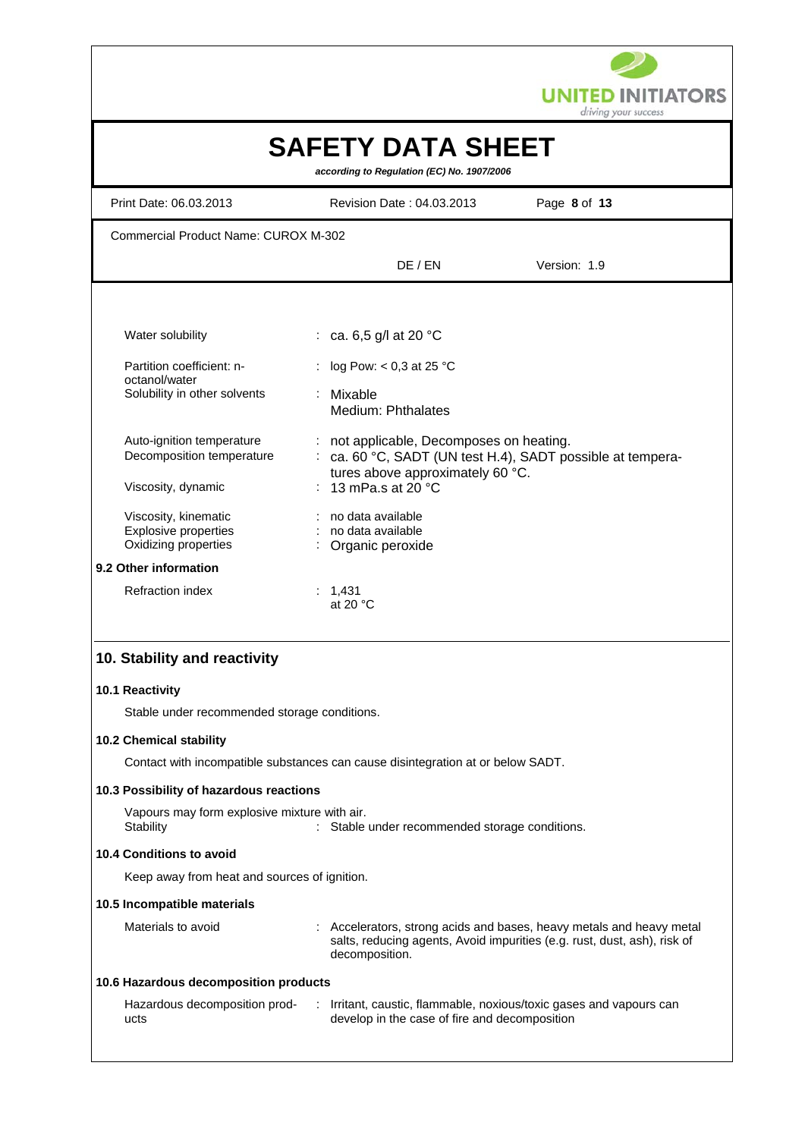

|                                                                             |                                                                                 | driving your success                                                                                                                           |
|-----------------------------------------------------------------------------|---------------------------------------------------------------------------------|------------------------------------------------------------------------------------------------------------------------------------------------|
|                                                                             | <b>SAFETY DATA SHEET</b><br>according to Regulation (EC) No. 1907/2006          |                                                                                                                                                |
| Print Date: 06.03.2013                                                      | Revision Date: 04.03.2013                                                       | Page 8 of 13                                                                                                                                   |
| <b>Commercial Product Name: CUROX M-302</b>                                 |                                                                                 |                                                                                                                                                |
|                                                                             | DE / EN                                                                         | Version: 1.9                                                                                                                                   |
|                                                                             |                                                                                 |                                                                                                                                                |
| Water solubility                                                            | : ca. 6,5 g/l at 20 $^{\circ}$ C                                                |                                                                                                                                                |
| Partition coefficient: n-<br>octanol/water                                  | log Pow: $< 0.3$ at 25 °C                                                       |                                                                                                                                                |
| Solubility in other solvents                                                | Mixable<br>Medium: Phthalates                                                   |                                                                                                                                                |
| Auto-ignition temperature<br>Decomposition temperature                      | not applicable, Decomposes on heating.<br>÷                                     | ca. 60 °C, SADT (UN test H.4), SADT possible at tempera-                                                                                       |
| Viscosity, dynamic                                                          | tures above approximately 60 °C.<br>13 mPa.s at $20^{\circ}$ C                  |                                                                                                                                                |
| Viscosity, kinematic<br><b>Explosive properties</b><br>Oxidizing properties | no data available<br>: no data available<br>Organic peroxide                    |                                                                                                                                                |
| 9.2 Other information                                                       |                                                                                 |                                                                                                                                                |
| <b>Refraction index</b>                                                     | : 1,431<br>at 20 $\degree$ C                                                    |                                                                                                                                                |
| 10. Stability and reactivity                                                |                                                                                 |                                                                                                                                                |
| 10.1 Reactivity                                                             |                                                                                 |                                                                                                                                                |
| Stable under recommended storage conditions.                                |                                                                                 |                                                                                                                                                |
| 10.2 Chemical stability                                                     |                                                                                 |                                                                                                                                                |
|                                                                             | Contact with incompatible substances can cause disintegration at or below SADT. |                                                                                                                                                |
| 10.3 Possibility of hazardous reactions                                     |                                                                                 |                                                                                                                                                |
| Vapours may form explosive mixture with air.<br>Stability                   | Stable under recommended storage conditions.                                    |                                                                                                                                                |
| 10.4 Conditions to avoid                                                    |                                                                                 |                                                                                                                                                |
| Keep away from heat and sources of ignition.                                |                                                                                 |                                                                                                                                                |
| 10.5 Incompatible materials                                                 |                                                                                 |                                                                                                                                                |
| Materials to avoid                                                          | decomposition.                                                                  | Accelerators, strong acids and bases, heavy metals and heavy metal<br>salts, reducing agents, Avoid impurities (e.g. rust, dust, ash), risk of |
| 10.6 Hazardous decomposition products                                       |                                                                                 |                                                                                                                                                |
| Hazardous decomposition prod-<br>ucts                                       | develop in the case of fire and decomposition                                   | : Irritant, caustic, flammable, noxious/toxic gases and vapours can                                                                            |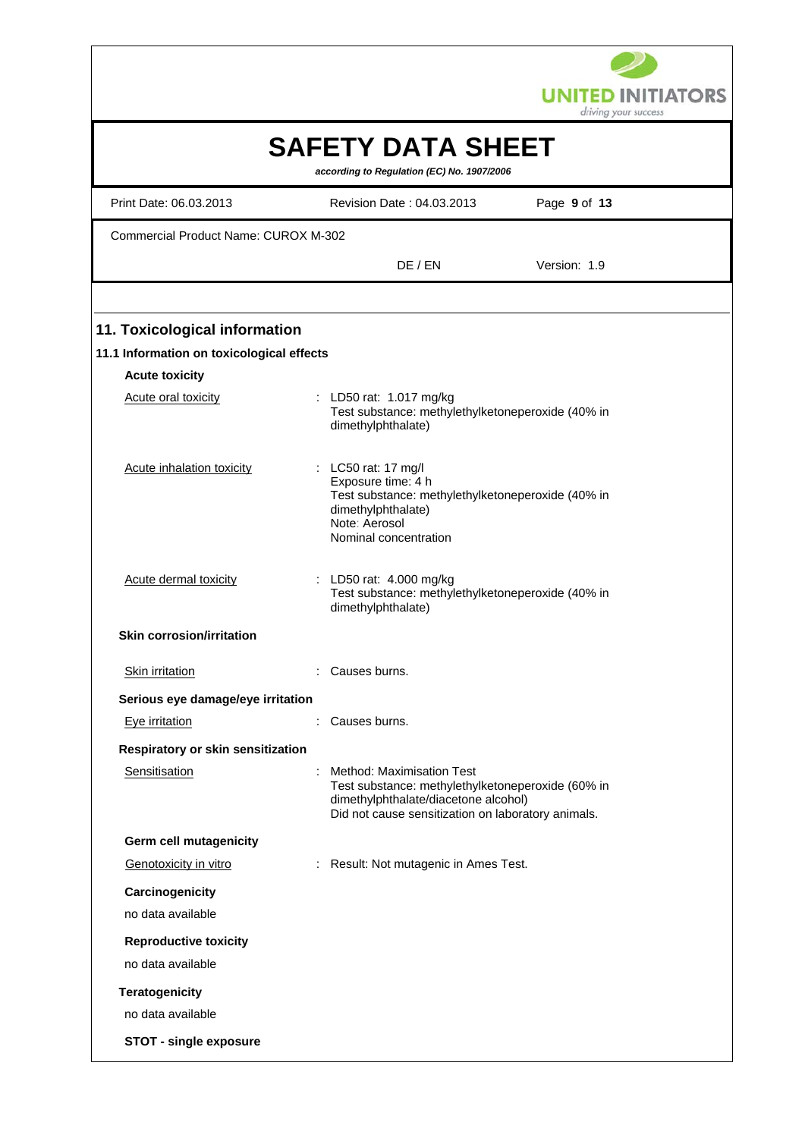

|                                             |   |                                                                                                                                                                                     | ariving your success |
|---------------------------------------------|---|-------------------------------------------------------------------------------------------------------------------------------------------------------------------------------------|----------------------|
|                                             |   | <b>SAFETY DATA SHEET</b><br>according to Regulation (EC) No. 1907/2006                                                                                                              |                      |
| Print Date: 06.03.2013                      |   | Revision Date: 04.03.2013                                                                                                                                                           | Page 9 of 13         |
| <b>Commercial Product Name: CUROX M-302</b> |   |                                                                                                                                                                                     |                      |
|                                             |   | DE / EN                                                                                                                                                                             | Version: 1.9         |
|                                             |   |                                                                                                                                                                                     |                      |
| 11. Toxicological information               |   |                                                                                                                                                                                     |                      |
| 11.1 Information on toxicological effects   |   |                                                                                                                                                                                     |                      |
| <b>Acute toxicity</b>                       |   |                                                                                                                                                                                     |                      |
| Acute oral toxicity                         |   | LD50 rat: 1.017 mg/kg<br>Test substance: methylethylketoneperoxide (40% in<br>dimethylphthalate)                                                                                    |                      |
| Acute inhalation toxicity                   |   | : LC50 rat: 17 mg/l<br>Exposure time: 4 h<br>Test substance: methylethylketoneperoxide (40% in<br>dimethylphthalate)<br>Note: Aerosol<br>Nominal concentration                      |                      |
| <b>Acute dermal toxicity</b>                |   | LD50 rat: 4.000 mg/kg<br>Test substance: methylethylketoneperoxide (40% in<br>dimethylphthalate)                                                                                    |                      |
| <b>Skin corrosion/irritation</b>            |   |                                                                                                                                                                                     |                      |
| Skin irritation                             |   | Causes burns.                                                                                                                                                                       |                      |
| Serious eye damage/eye irritation           |   |                                                                                                                                                                                     |                      |
| Eye irritation                              |   | Causes burns.                                                                                                                                                                       |                      |
| Respiratory or skin sensitization           |   |                                                                                                                                                                                     |                      |
| Sensitisation                               | ÷ | <b>Method: Maximisation Test</b><br>Test substance: methylethylketoneperoxide (60% in<br>dimethylphthalate/diacetone alcohol)<br>Did not cause sensitization on laboratory animals. |                      |
| <b>Germ cell mutagenicity</b>               |   |                                                                                                                                                                                     |                      |
| Genotoxicity in vitro                       |   | Result: Not mutagenic in Ames Test.                                                                                                                                                 |                      |
| Carcinogenicity                             |   |                                                                                                                                                                                     |                      |
| no data available                           |   |                                                                                                                                                                                     |                      |
| <b>Reproductive toxicity</b>                |   |                                                                                                                                                                                     |                      |
| no data available                           |   |                                                                                                                                                                                     |                      |
| <b>Teratogenicity</b>                       |   |                                                                                                                                                                                     |                      |
| no data available                           |   |                                                                                                                                                                                     |                      |
| <b>STOT - single exposure</b>               |   |                                                                                                                                                                                     |                      |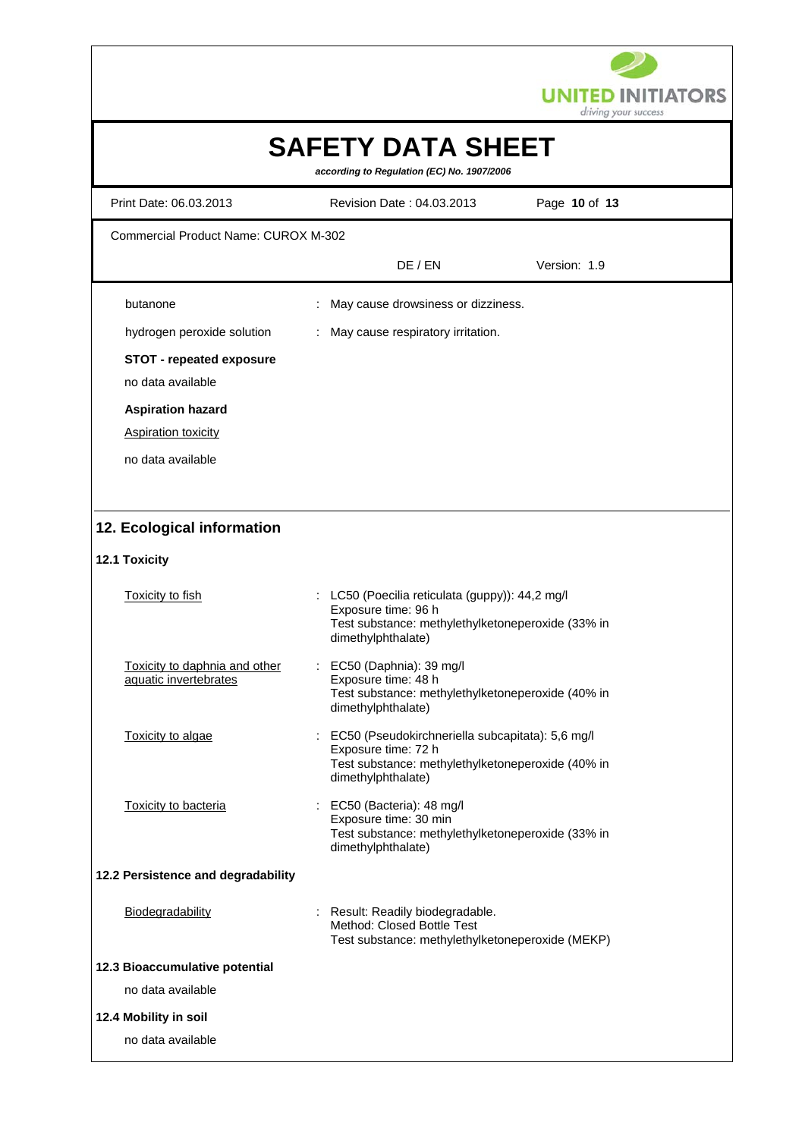

| Print Date: 06.03.2013                                 | Revision Date: 04.03.2013                                                  | Page 10 of 13 |
|--------------------------------------------------------|----------------------------------------------------------------------------|---------------|
| <b>Commercial Product Name: CUROX M-302</b>            |                                                                            |               |
|                                                        | DE / EN                                                                    | Version: 1.9  |
| butanone                                               | May cause drowsiness or dizziness.                                         |               |
| hydrogen peroxide solution                             | May cause respiratory irritation.                                          |               |
| <b>STOT - repeated exposure</b>                        |                                                                            |               |
| no data available                                      |                                                                            |               |
| <b>Aspiration hazard</b>                               |                                                                            |               |
| <b>Aspiration toxicity</b>                             |                                                                            |               |
| no data available                                      |                                                                            |               |
|                                                        |                                                                            |               |
|                                                        |                                                                            |               |
| 12. Ecological information                             |                                                                            |               |
| 12.1 Toxicity                                          |                                                                            |               |
| <b>Toxicity to fish</b>                                | : LC50 (Poecilia reticulata (guppy)): 44,2 mg/l                            |               |
|                                                        | Exposure time: 96 h<br>Test substance: methylethylketoneperoxide (33% in   |               |
|                                                        | dimethylphthalate)                                                         |               |
| Toxicity to daphnia and other<br>aquatic invertebrates | EC50 (Daphnia): 39 mg/l<br>Exposure time: 48 h                             |               |
|                                                        | Test substance: methylethylketoneperoxide (40% in                          |               |
|                                                        | dimethylphthalate)                                                         |               |
| Toxicity to algae                                      | EC50 (Pseudokirchneriella subcapitata): 5,6 mg/l<br>Exposure time: 72 h    |               |
|                                                        | Test substance: methylethylketoneperoxide (40% in<br>dimethylphthalate)    |               |
| Toxicity to bacteria                                   | : EC50 (Bacteria): 48 mg/l                                                 |               |
|                                                        | Exposure time: 30 min<br>Test substance: methylethylketoneperoxide (33% in |               |
|                                                        | dimethylphthalate)                                                         |               |
| 12.2 Persistence and degradability                     |                                                                            |               |
| Biodegradability                                       | : Result: Readily biodegradable.                                           |               |
|                                                        | Method: Closed Bottle Test                                                 |               |
|                                                        | Test substance: methylethylketoneperoxide (MEKP)                           |               |
| 12.3 Bioaccumulative potential<br>no data available    |                                                                            |               |
|                                                        |                                                                            |               |
| 12.4 Mobility in soil                                  |                                                                            |               |
| no data available                                      |                                                                            |               |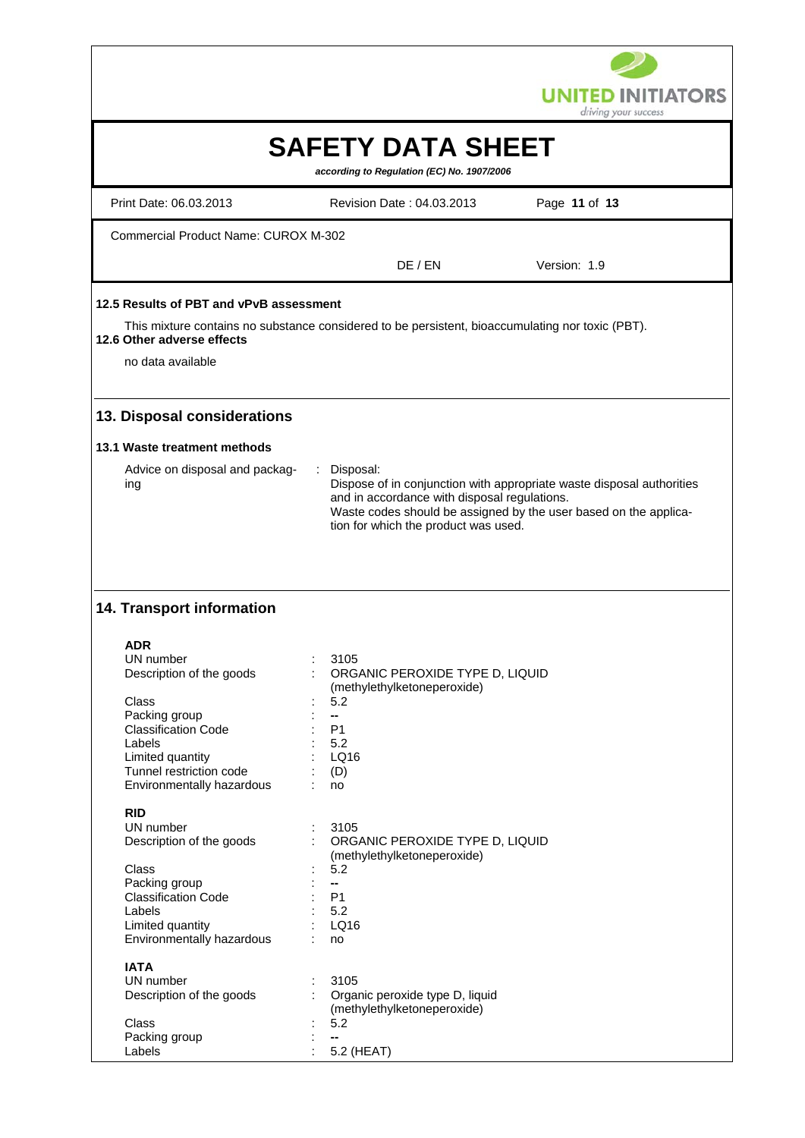

|                                                                                                        |                                                                                                                    | driving your success                                                                                                                      |
|--------------------------------------------------------------------------------------------------------|--------------------------------------------------------------------------------------------------------------------|-------------------------------------------------------------------------------------------------------------------------------------------|
|                                                                                                        | <b>SAFETY DATA SHEET</b><br>according to Regulation (EC) No. 1907/2006                                             |                                                                                                                                           |
| Print Date: 06.03.2013                                                                                 | Revision Date: 04.03.2013                                                                                          | Page 11 of 13                                                                                                                             |
| <b>Commercial Product Name: CUROX M-302</b>                                                            |                                                                                                                    |                                                                                                                                           |
|                                                                                                        | DE / EN                                                                                                            | Version: 1.9                                                                                                                              |
| 12.5 Results of PBT and vPvB assessment                                                                |                                                                                                                    |                                                                                                                                           |
| 12.6 Other adverse effects                                                                             | This mixture contains no substance considered to be persistent, bioaccumulating nor toxic (PBT).                   |                                                                                                                                           |
| no data available                                                                                      |                                                                                                                    |                                                                                                                                           |
| 13. Disposal considerations                                                                            |                                                                                                                    |                                                                                                                                           |
| 13.1 Waste treatment methods                                                                           |                                                                                                                    |                                                                                                                                           |
| Advice on disposal and packag-<br>ing                                                                  | Disposal:<br>$\mathcal{L}$<br>and in accordance with disposal regulations.<br>tion for which the product was used. | Dispose of in conjunction with appropriate waste disposal authorities<br>Waste codes should be assigned by the user based on the applica- |
| 14. Transport information<br><b>ADR</b><br>UN number<br>Description of the goods                       | 3105<br>ORGANIC PEROXIDE TYPE D, LIQUID                                                                            |                                                                                                                                           |
| Class<br>Packing group<br><b>Classification Code</b>                                                   | (methylethylketoneperoxide)<br>5.2<br>P1                                                                           |                                                                                                                                           |
| Labels<br>Limited quantity<br>Tunnel restriction code<br>Environmentally hazardous                     | 5.2<br>LQ16<br>(D)<br>no                                                                                           |                                                                                                                                           |
| <b>RID</b><br>UN number<br>Description of the goods<br>Class                                           | 3105<br>ORGANIC PEROXIDE TYPE D, LIQUID<br>(methylethylketoneperoxide)<br>5.2                                      |                                                                                                                                           |
| Packing group<br><b>Classification Code</b><br>Labels<br>Limited quantity<br>Environmentally hazardous | −−<br>P <sub>1</sub><br>5.2<br>LQ16<br>no                                                                          |                                                                                                                                           |
| <b>IATA</b><br>UN number<br>Description of the goods                                                   | 3105<br>Organic peroxide type D, liquid<br>(methylethylketoneperoxide)                                             |                                                                                                                                           |
| Class<br>Packing group<br>Labels                                                                       | 5.2<br>--<br>5.2 (HEAT)                                                                                            |                                                                                                                                           |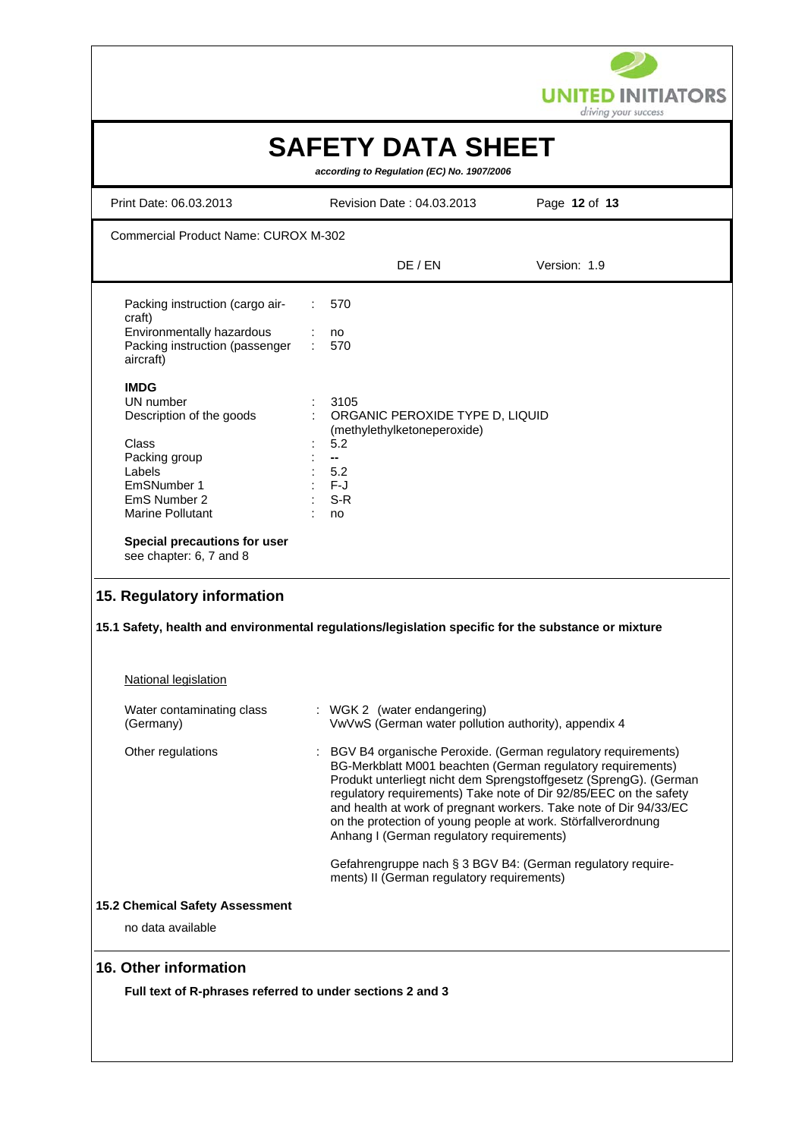

| Print Date: 06.03.2013                                                                                                      |                | Revision Date: 04.03.2013                                              | Page 12 of 13                                                                                                                                                                                                                                                                                                                                                                                               |
|-----------------------------------------------------------------------------------------------------------------------------|----------------|------------------------------------------------------------------------|-------------------------------------------------------------------------------------------------------------------------------------------------------------------------------------------------------------------------------------------------------------------------------------------------------------------------------------------------------------------------------------------------------------|
| Commercial Product Name: CUROX M-302                                                                                        |                |                                                                        |                                                                                                                                                                                                                                                                                                                                                                                                             |
|                                                                                                                             |                | DE / EN                                                                | Version: 1.9                                                                                                                                                                                                                                                                                                                                                                                                |
| Packing instruction (cargo air-<br>craft)                                                                                   | 570            |                                                                        |                                                                                                                                                                                                                                                                                                                                                                                                             |
| Environmentally hazardous<br>Packing instruction (passenger<br>aircraft)                                                    | no<br>570      |                                                                        |                                                                                                                                                                                                                                                                                                                                                                                                             |
| <b>IMDG</b>                                                                                                                 |                |                                                                        |                                                                                                                                                                                                                                                                                                                                                                                                             |
| UN number<br>Description of the goods                                                                                       |                | 3105<br>ORGANIC PEROXIDE TYPE D, LIQUID<br>(methylethylketoneperoxide) |                                                                                                                                                                                                                                                                                                                                                                                                             |
| Class<br>Packing group                                                                                                      | 5.2<br>--      |                                                                        |                                                                                                                                                                                                                                                                                                                                                                                                             |
| Labels                                                                                                                      | 5.2            |                                                                        |                                                                                                                                                                                                                                                                                                                                                                                                             |
| EmSNumber 1<br>EmS Number 2                                                                                                 | $F-J$<br>$S-R$ |                                                                        |                                                                                                                                                                                                                                                                                                                                                                                                             |
| Marine Pollutant                                                                                                            | no             |                                                                        |                                                                                                                                                                                                                                                                                                                                                                                                             |
| Special precautions for user<br>see chapter: 6, 7 and 8<br>15. Regulatory information                                       |                |                                                                        |                                                                                                                                                                                                                                                                                                                                                                                                             |
| 15.1 Safety, health and environmental regulations/legislation specific for the substance or mixture<br>National legislation |                |                                                                        |                                                                                                                                                                                                                                                                                                                                                                                                             |
| Water contaminating class<br>(Germany)                                                                                      |                | : WGK 2 (water endangering)                                            | VwVwS (German water pollution authority), appendix 4                                                                                                                                                                                                                                                                                                                                                        |
| Other regulations                                                                                                           |                | Anhang I (German regulatory requirements)                              | BGV B4 organische Peroxide. (German regulatory requirements)<br>BG-Merkblatt M001 beachten (German regulatory requirements)<br>Produkt unterliegt nicht dem Sprengstoffgesetz (SprengG). (German<br>regulatory requirements) Take note of Dir 92/85/EEC on the safety<br>and health at work of pregnant workers. Take note of Dir 94/33/EC<br>on the protection of young people at work. Störfallverordnung |
|                                                                                                                             |                | ments) II (German regulatory requirements)                             | Gefahrengruppe nach § 3 BGV B4: (German regulatory require-                                                                                                                                                                                                                                                                                                                                                 |
| 15.2 Chemical Safety Assessment                                                                                             |                |                                                                        |                                                                                                                                                                                                                                                                                                                                                                                                             |
| no data available                                                                                                           |                |                                                                        |                                                                                                                                                                                                                                                                                                                                                                                                             |